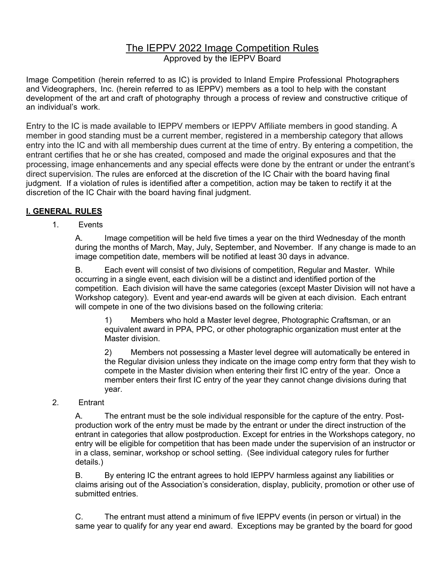# The IEPPV 2022 Image Competition Rules Approved by the IEPPV Board

Image Competition (herein referred to as IC) is provided to Inland Empire Professional Photographers and Videographers, Inc. (herein referred to as IEPPV) members as a tool to help with the constant development of the art and craft of photography through a process of review and constructive critique of an individual's work.

Entry to the IC is made available to IEPPV members or IEPPV Affiliate members in good standing. A member in good standing must be a current member, registered in a membership category that allows entry into the IC and with all membership dues current at the time of entry. By entering a competition, the entrant certifies that he or she has created, composed and made the original exposures and that the processing, image enhancements and any special effects were done by the entrant or under the entrant's direct supervision. The rules are enforced at the discretion of the IC Chair with the board having final judgment. If a violation of rules is identified after a competition, action may be taken to rectify it at the discretion of the IC Chair with the board having final judgment.

# **I. GENERAL RULES**

1. Events

A. Image competition will be held five times a year on the third Wednesday of the month during the months of March, May, July, September, and November. If any change is made to an image competition date, members will be notified at least 30 days in advance.

B. Each event will consist of two divisions of competition, Regular and Master. While occurring in a single event, each division will be a distinct and identified portion of the competition. Each division will have the same categories (except Master Division will not have a Workshop category). Event and year-end awards will be given at each division. Each entrant will compete in one of the two divisions based on the following criteria:

1) Members who hold a Master level degree, Photographic Craftsman, or an equivalent award in PPA, PPC, or other photographic organization must enter at the Master division.

2) Members not possessing a Master level degree will automatically be entered in the Regular division unless they indicate on the image comp entry form that they wish to compete in the Master division when entering their first IC entry of the year. Once a member enters their first IC entry of the year they cannot change divisions during that year.

#### 2. Entrant

A. The entrant must be the sole individual responsible for the capture of the entry. Postproduction work of the entry must be made by the entrant or under the direct instruction of the entrant in categories that allow postproduction. Except for entries in the Workshops category, no entry will be eligible for competition that has been made under the supervision of an instructor or in a class, seminar, workshop or school setting. (See individual category rules for further details.)

B. By entering IC the entrant agrees to hold IEPPV harmless against any liabilities or claims arising out of the Association's consideration, display, publicity, promotion or other use of submitted entries.

C. The entrant must attend a minimum of five IEPPV events (in person or virtual) in the same year to qualify for any year end award. Exceptions may be granted by the board for good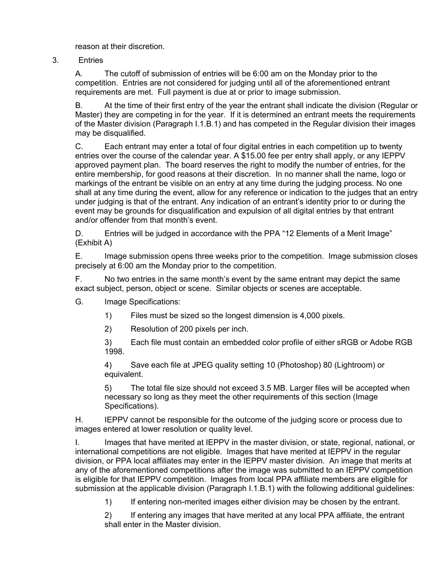reason at their discretion.

3. Entries

A. The cutoff of submission of entries will be 6:00 am on the Monday prior to the competition. Entries are not considered for judging until all of the aforementioned entrant requirements are met. Full payment is due at or prior to image submission.

B. At the time of their first entry of the year the entrant shall indicate the division (Regular or Master) they are competing in for the year. If it is determined an entrant meets the requirements of the Master division (Paragraph I.1.B.1) and has competed in the Regular division their images may be disqualified.

C. Each entrant may enter a total of four digital entries in each competition up to twenty entries over the course of the calendar year. A \$15.00 fee per entry shall apply, or any IEPPV approved payment plan. The board reserves the right to modify the number of entries, for the entire membership, for good reasons at their discretion. In no manner shall the name, logo or markings of the entrant be visible on an entry at any time during the judging process. No one shall at any time during the event, allow for any reference or indication to the judges that an entry under judging is that of the entrant. Any indication of an entrant's identity prior to or during the event may be grounds for disqualification and expulsion of all digital entries by that entrant and/or offender from that month's event.

D. Entries will be judged in accordance with the PPA "12 Elements of a Merit Image" (Exhibit A)

E. Image submission opens three weeks prior to the competition. Image submission closes precisely at 6:00 am the Monday prior to the competition.

F. No two entries in the same month's event by the same entrant may depict the same exact subject, person, object or scene. Similar objects or scenes are acceptable.

G. Image Specifications:

- 1) Files must be sized so the longest dimension is 4,000 pixels.
- 2) Resolution of 200 pixels per inch.

3) Each file must contain an embedded color profile of either sRGB or Adobe RGB 1998.

4) Save each file at JPEG quality setting 10 (Photoshop) 80 (Lightroom) or equivalent.

5) The total file size should not exceed 3.5 MB. Larger files will be accepted when necessary so long as they meet the other requirements of this section (Image Specifications).

H. IEPPV cannot be responsible for the outcome of the judging score or process due to images entered at lower resolution or quality level.

I. Images that have merited at IEPPV in the master division, or state, regional, national, or international competitions are not eligible. Images that have merited at IEPPV in the regular division, or PPA local affiliates may enter in the IEPPV master division. An image that merits at any of the aforementioned competitions after the image was submitted to an IEPPV competition is eligible for that IEPPV competition. Images from local PPA affiliate members are eligible for submission at the applicable division (Paragraph I.1.B.1) with the following additional guidelines:

1) If entering non-merited images either division may be chosen by the entrant.

2) If entering any images that have merited at any local PPA affiliate, the entrant shall enter in the Master division.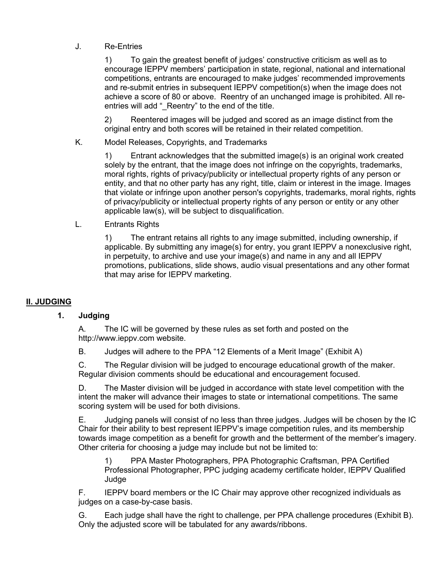# J. Re-Entries

1) To gain the greatest benefit of judges' constructive criticism as well as to encourage IEPPV members' participation in state, regional, national and international competitions, entrants are encouraged to make judges' recommended improvements and re-submit entries in subsequent IEPPV competition(s) when the image does not achieve a score of 80 or above. Reentry of an unchanged image is prohibited. All reentries will add " Reentry" to the end of the title.

2) Reentered images will be judged and scored as an image distinct from the original entry and both scores will be retained in their related competition.

K. Model Releases, Copyrights, and Trademarks

1) Entrant acknowledges that the submitted image(s) is an original work created solely by the entrant, that the image does not infringe on the copyrights, trademarks, moral rights, rights of privacy/publicity or intellectual property rights of any person or entity, and that no other party has any right, title, claim or interest in the image. Images that violate or infringe upon another person's copyrights, trademarks, moral rights, rights of privacy/publicity or intellectual property rights of any person or entity or any other applicable law(s), will be subject to disqualification.

L. Entrants Rights

1) The entrant retains all rights to any image submitted, including ownership, if applicable. By submitting any image(s) for entry, you grant IEPPV a nonexclusive right, in perpetuity, to archive and use your image(s) and name in any and all IEPPV promotions, publications, slide shows, audio visual presentations and any other format that may arise for IEPPV marketing.

# **II. JUDGING**

#### **1. Judging**

A. The IC will be governed by these rules as set forth and posted on the http://www.ieppv.com website.

B. Judges will adhere to the PPA "12 Elements of a Merit Image" (Exhibit A)

C. The Regular division will be judged to encourage educational growth of the maker. Regular division comments should be educational and encouragement focused.

D. The Master division will be judged in accordance with state level competition with the intent the maker will advance their images to state or international competitions. The same scoring system will be used for both divisions.

E. Judging panels will consist of no less than three judges. Judges will be chosen by the IC Chair for their ability to best represent IEPPV's image competition rules, and its membership towards image competition as a benefit for growth and the betterment of the member's imagery. Other criteria for choosing a judge may include but not be limited to:

1) PPA Master Photographers, PPA Photographic Craftsman, PPA Certified Professional Photographer, PPC judging academy certificate holder, IEPPV Qualified Judge

F. IEPPV board members or the IC Chair may approve other recognized individuals as judges on a case-by-case basis.

G. Each judge shall have the right to challenge, per PPA challenge procedures (Exhibit B). Only the adjusted score will be tabulated for any awards/ribbons.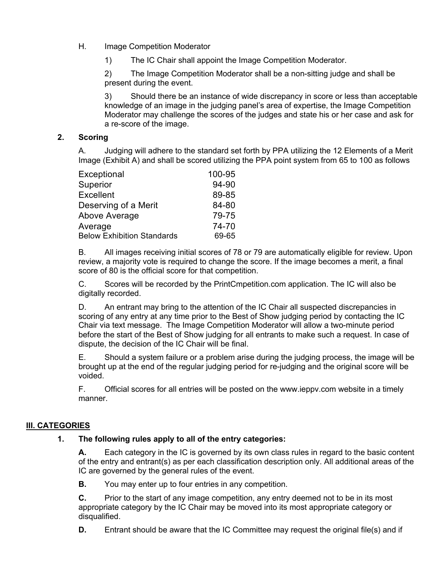## H. Image Competition Moderator

1) The IC Chair shall appoint the Image Competition Moderator.

2) The Image Competition Moderator shall be a non-sitting judge and shall be present during the event.

3) Should there be an instance of wide discrepancy in score or less than acceptable knowledge of an image in the judging panel's area of expertise, the Image Competition Moderator may challenge the scores of the judges and state his or her case and ask for a re-score of the image.

#### **2. Scoring**

A. Judging will adhere to the standard set forth by PPA utilizing the 12 Elements of a Merit Image (Exhibit A) and shall be scored utilizing the PPA point system from 65 to 100 as follows

| Exceptional                       | 100-95 |
|-----------------------------------|--------|
| Superior                          | 94-90  |
| <b>Excellent</b>                  | 89-85  |
| Deserving of a Merit              | 84-80  |
| Above Average                     | 79-75  |
| Average                           | 74-70  |
| <b>Below Exhibition Standards</b> | 69-65  |

B. All images receiving initial scores of 78 or 79 are automatically eligible for review. Upon review, a majority vote is required to change the score. If the image becomes a merit, a final score of 80 is the official score for that competition.

C. Scores will be recorded by the PrintCmpetition.com application. The IC will also be digitally recorded.

D. An entrant may bring to the attention of the IC Chair all suspected discrepancies in scoring of any entry at any time prior to the Best of Show judging period by contacting the IC Chair via text message. The Image Competition Moderator will allow a two-minute period before the start of the Best of Show judging for all entrants to make such a request. In case of dispute, the decision of the IC Chair will be final.

E. Should a system failure or a problem arise during the judging process, the image will be brought up at the end of the regular judging period for re-judging and the original score will be voided.

F. Official scores for all entries will be posted on the www.ieppv.com website in a timely manner.

#### **III. CATEGORIES**

#### **1. The following rules apply to all of the entry categories:**

**A.** Each category in the IC is governed by its own class rules in regard to the basic content of the entry and entrant(s) as per each classification description only. All additional areas of the IC are governed by the general rules of the event.

**B.** You may enter up to four entries in any competition.

**C.** Prior to the start of any image competition, any entry deemed not to be in its most appropriate category by the IC Chair may be moved into its most appropriate category or disqualified.

**D.** Entrant should be aware that the IC Committee may request the original file(s) and if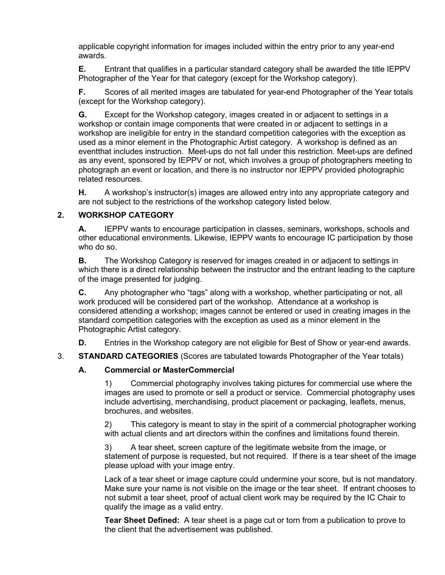applicable copyright information for images included within the entry prior to any year-end awards.

**E.** Entrant that qualifies in a particular standard category shall be awarded the title IEPPV Photographer of the Year for that category (except for the Workshop category).

**F.** Scores of all merited images are tabulated for year-end Photographer of the Year totals (except for the Workshop category).

**G.** Except for the Workshop category, images created in or adjacent to settings in a workshop or contain image components that were created in or adjacent to settings in a workshop are ineligible for entry in the standard competition categories with the exception as used as a minor element in the Photographic Artist category. A workshop is defined as an eventthat includes instruction. Meet-ups do not fall under this restriction. Meet-ups are defined as any event, sponsored by IEPPV or not, which involves a group of photographers meeting to photograph an event or location, and there is no instructor nor IEPPV provided photographic related resources.

**H.** A workshop's instructor(s) images are allowed entry into any appropriate category and are not subject to the restrictions of the workshop category listed below.

#### **2. WORKSHOP CATEGORY**

**A.** IEPPV wants to encourage participation in classes, seminars, workshops, schools and other educational environments. Likewise, IEPPV wants to encourage IC participation by those who do so.

**B.** The Workshop Category is reserved for images created in or adjacent to settings in which there is a direct relationship between the instructor and the entrant leading to the capture of the image presented for judging.

**C.** Any photographer who "tags" along with a workshop, whether participating or not, all work produced will be considered part of the workshop. Attendance at a workshop is considered attending a workshop; images cannot be entered or used in creating images in the standard competition categories with the exception as used as a minor element in the Photographic Artist category.

**D.** Entries in the Workshop category are not eligible for Best of Show or year-end awards.

3. **STANDARD CATEGORIES** (Scores are tabulated towards Photographer of the Year totals)

#### **A. Commercial or MasterCommercial**

1) Commercial photography involves taking pictures for commercial use where the images are used to promote or sell a product or service. Commercial photography uses include advertising, merchandising, product placement or packaging, leaflets, menus, brochures, and websites.

2) This category is meant to stay in the spirit of a commercial photographer working with actual clients and art directors within the confines and limitations found therein.

3) A tear sheet, screen capture of the legitimate website from the image, or statement of purpose is requested, but not required. If there is a tear sheet of the image please upload with your image entry.

Lack of a tear sheet or image capture could undermine your score, but is not mandatory. Make sure your name is not visible on the image or the tear sheet. If entrant chooses to not submit a tear sheet, proof of actual client work may be required by the IC Chair to qualify the image as a valid entry.

**Tear Sheet Defined:** A tear sheet is a page cut or torn from a publication to prove to the client that the advertisement was published.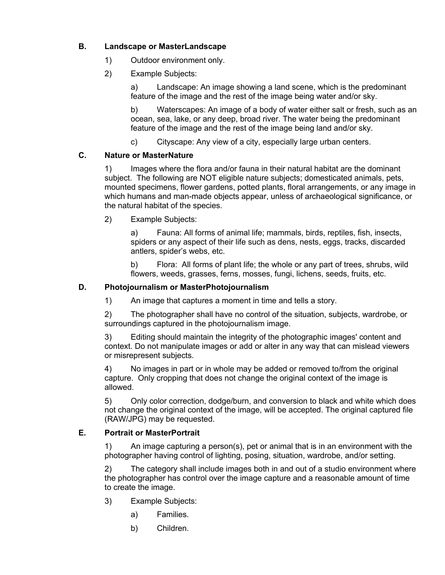# **B. Landscape or MasterLandscape**

- 1) Outdoor environment only.
- 2) Example Subjects:

a) Landscape: An image showing a land scene, which is the predominant feature of the image and the rest of the image being water and/or sky.

b) Waterscapes: An image of a body of water either salt or fresh, such as an ocean, sea, lake, or any deep, broad river. The water being the predominant feature of the image and the rest of the image being land and/or sky.

c) Cityscape: Any view of a city, especially large urban centers.

# **C. Nature or MasterNature**

1) Images where the flora and/or fauna in their natural habitat are the dominant subject. The following are NOT eligible nature subjects; domesticated animals, pets, mounted specimens, flower gardens, potted plants, floral arrangements, or any image in which humans and man-made objects appear, unless of archaeological significance, or the natural habitat of the species.

2) Example Subjects:

a) Fauna: All forms of animal life; mammals, birds, reptiles, fish, insects, spiders or any aspect of their life such as dens, nests, eggs, tracks, discarded antlers, spider's webs, etc.

b) Flora: All forms of plant life; the whole or any part of trees, shrubs, wild flowers, weeds, grasses, ferns, mosses, fungi, lichens, seeds, fruits, etc.

# **D. Photojournalism or MasterPhotojournalism**

1) An image that captures a moment in time and tells a story.

2) The photographer shall have no control of the situation, subjects, wardrobe, or surroundings captured in the photojournalism image.

3) Editing should maintain the integrity of the photographic images' content and context. Do not manipulate images or add or alter in any way that can mislead viewers or misrepresent subjects.

4) No images in part or in whole may be added or removed to/from the original capture. Only cropping that does not change the original context of the image is allowed.

5) Only color correction, dodge/burn, and conversion to black and white which does not change the original context of the image, will be accepted. The original captured file (RAW/JPG) may be requested.

# **E. Portrait or MasterPortrait**

1) An image capturing a person(s), pet or animal that is in an environment with the photographer having control of lighting, posing, situation, wardrobe, and/or setting.

The category shall include images both in and out of a studio environment where the photographer has control over the image capture and a reasonable amount of time to create the image.

- 3) Example Subjects:
	- a) Families.
	- b) Children.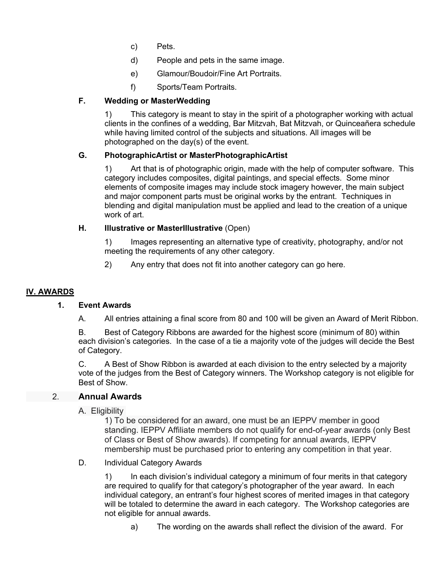- c) Pets.
- d) People and pets in the same image.
- e) Glamour/Boudoir/Fine Art Portraits.
- f) Sports/Team Portraits.

# **F. Wedding or MasterWedding**

1) This category is meant to stay in the spirit of a photographer working with actual clients in the confines of a wedding, Bar Mitzvah, Bat Mitzvah, or Quinceañera schedule while having limited control of the subjects and situations. All images will be photographed on the day(s) of the event.

# **G. PhotographicArtist or MasterPhotographicArtist**

1) Art that is of photographic origin, made with the help of computer software. This category includes composites, digital paintings, and special effects. Some minor elements of composite images may include stock imagery however, the main subject and major component parts must be original works by the entrant. Techniques in blending and digital manipulation must be applied and lead to the creation of a unique work of art.

# **H. Illustrative or MasterIllustrative** (Open)

1) Images representing an alternative type of creativity, photography, and/or not meeting the requirements of any other category.

2) Any entry that does not fit into another category can go here.

# **IV. AWARDS**

#### **1. Event Awards**

A. All entries attaining a final score from 80 and 100 will be given an Award of Merit Ribbon.

B. Best of Category Ribbons are awarded for the highest score (minimum of 80) within each division's categories. In the case of a tie a majority vote of the judges will decide the Best of Category.

C. A Best of Show Ribbon is awarded at each division to the entry selected by a majority vote of the judges from the Best of Category winners. The Workshop category is not eligible for Best of Show.

# 2. **Annual Awards**

#### A. Eligibility

1) To be considered for an award, one must be an IEPPV member in good standing. IEPPV Affiliate members do not qualify for end-of-year awards (only Best of Class or Best of Show awards). If competing for annual awards, IEPPV membership must be purchased prior to entering any competition in that year.

#### D. Individual Category Awards

1) In each division's individual category a minimum of four merits in that category are required to qualify for that category's photographer of the year award. In each individual category, an entrant's four highest scores of merited images in that category will be totaled to determine the award in each category. The Workshop categories are not eligible for annual awards.

a) The wording on the awards shall reflect the division of the award. For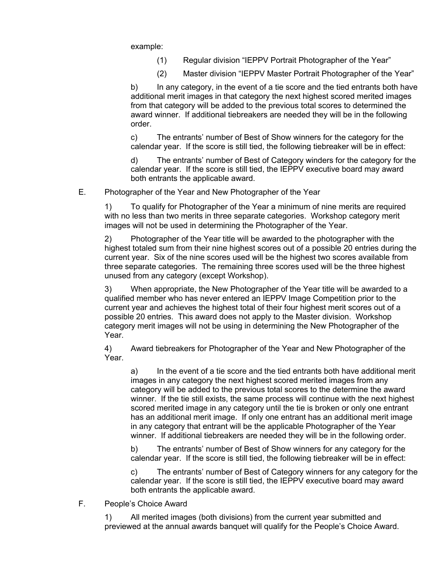example:

- (1) Regular division "IEPPV Portrait Photographer of the Year"
- (2) Master division "IEPPV Master Portrait Photographer of the Year"

b) In any category, in the event of a tie score and the tied entrants both have additional merit images in that category the next highest scored merited images from that category will be added to the previous total scores to determined the award winner. If additional tiebreakers are needed they will be in the following order.

c) The entrants' number of Best of Show winners for the category for the calendar year. If the score is still tied, the following tiebreaker will be in effect:

d) The entrants' number of Best of Category winders for the category for the calendar year. If the score is still tied, the IEPPV executive board may award both entrants the applicable award.

E. Photographer of the Year and New Photographer of the Year

1) To qualify for Photographer of the Year a minimum of nine merits are required with no less than two merits in three separate categories. Workshop category merit images will not be used in determining the Photographer of the Year.

2) Photographer of the Year title will be awarded to the photographer with the highest totaled sum from their nine highest scores out of a possible 20 entries during the current year. Six of the nine scores used will be the highest two scores available from three separate categories. The remaining three scores used will be the three highest unused from any category (except Workshop).

3) When appropriate, the New Photographer of the Year title will be awarded to a qualified member who has never entered an IEPPV Image Competition prior to the current year and achieves the highest total of their four highest merit scores out of a possible 20 entries. This award does not apply to the Master division. Workshop category merit images will not be using in determining the New Photographer of the Year.

4) Award tiebreakers for Photographer of the Year and New Photographer of the Year.

a) In the event of a tie score and the tied entrants both have additional merit images in any category the next highest scored merited images from any category will be added to the previous total scores to the determine the award winner. If the tie still exists, the same process will continue with the next highest scored merited image in any category until the tie is broken or only one entrant has an additional merit image. If only one entrant has an additional merit image in any category that entrant will be the applicable Photographer of the Year winner. If additional tiebreakers are needed they will be in the following order.

b) The entrants' number of Best of Show winners for any category for the calendar year. If the score is still tied, the following tiebreaker will be in effect:

c) The entrants' number of Best of Category winners for any category for the calendar year. If the score is still tied, the IEPPV executive board may award both entrants the applicable award.

F. People's Choice Award

1) All merited images (both divisions) from the current year submitted and previewed at the annual awards banquet will qualify for the People's Choice Award.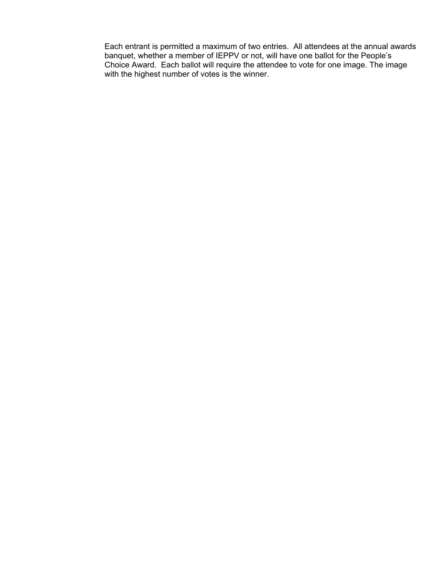Each entrant is permitted a maximum of two entries. All attendees at the annual awards banquet, whether a member of IEPPV or not, will have one ballot for the People's Choice Award. Each ballot will require the attendee to vote for one image. The image with the highest number of votes is the winner.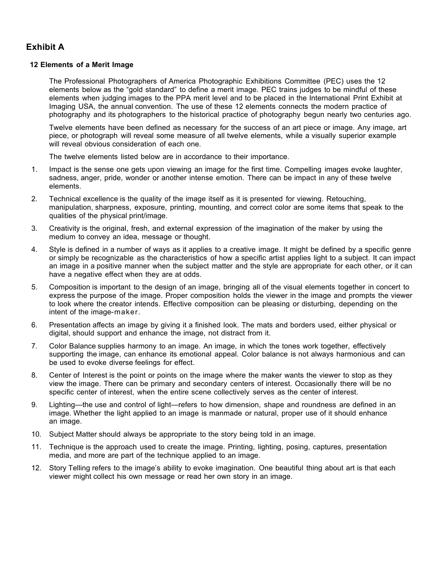# **Exhibit A**

#### **12 Elements of a Merit Image**

The Professional Photographers of America Photographic Exhibitions Committee (PEC) uses the 12 elements below as the "gold standard" to define a merit image. PEC trains judges to be mindful of these elements when judging images to the PPA merit level and to be placed in the International Print Exhibit at Imaging USA, the annual convention. The use of these 12 elements connects the modern practice of photography and its photographers to the historical practice of photography begun nearly two centuries ago.

Twelve elements have been defined as necessary for the success of an art piece or image. Any image, art piece, or photograph will reveal some measure of all twelve elements, while a visually superior example will reveal obvious consideration of each one.

The twelve elements listed below are in accordance to their importance.

- 1. Impact is the sense one gets upon viewing an image for the first time. Compelling images evoke laughter, sadness, anger, pride, wonder or another intense emotion. There can be impact in any of these twelve elements.
- 2. Technical excellence is the quality of the image itself as it is presented for viewing. Retouching, manipulation, sharpness, exposure, printing, mounting, and correct color are some items that speak to the qualities of the physical print/image.
- 3. Creativity is the original, fresh, and external expression of the imagination of the maker by using the medium to convey an idea, message or thought.
- 4. Style is defined in a number of ways as it applies to a creative image. It might be defined by a specific genre or simply be recognizable as the characteristics of how a specific artist applies light to a subject. It can impact an image in a positive manner when the subject matter and the style are appropriate for each other, or it can have a negative effect when they are at odds.
- 5. Composition is important to the design of an image, bringing all of the visual elements together in concert to express the purpose of the image. Proper composition holds the viewer in the image and prompts the viewer to look where the creator intends. Effective composition can be pleasing or disturbing, depending on the intent of the image-maker.
- 6. Presentation affects an image by giving it a finished look. The mats and borders used, either physical or digital, should support and enhance the image, not distract from it.
- 7. Color Balance supplies harmony to an image. An image, in which the tones work together, effectively supporting the image, can enhance its emotional appeal. Color balance is not always harmonious and can be used to evoke diverse feelings for effect.
- 8. Center of Interest is the point or points on the image where the maker wants the viewer to stop as they view the image. There can be primary and secondary centers of interest. Occasionally there will be no specific center of interest, when the entire scene collectively serves as the center of interest.
- 9. Lighting—the use and control of light—refers to how dimension, shape and roundness are defined in an image. Whether the light applied to an image is manmade or natural, proper use of it should enhance an image.
- 10. Subject Matter should always be appropriate to the story being told in an image.
- 11. Technique is the approach used to create the image. Printing, lighting, posing, captures, presentation media, and more are part of the technique applied to an image.
- 12. Story Telling refers to the image's ability to evoke imagination. One beautiful thing about art is that each viewer might collect his own message or read her own story in an image.